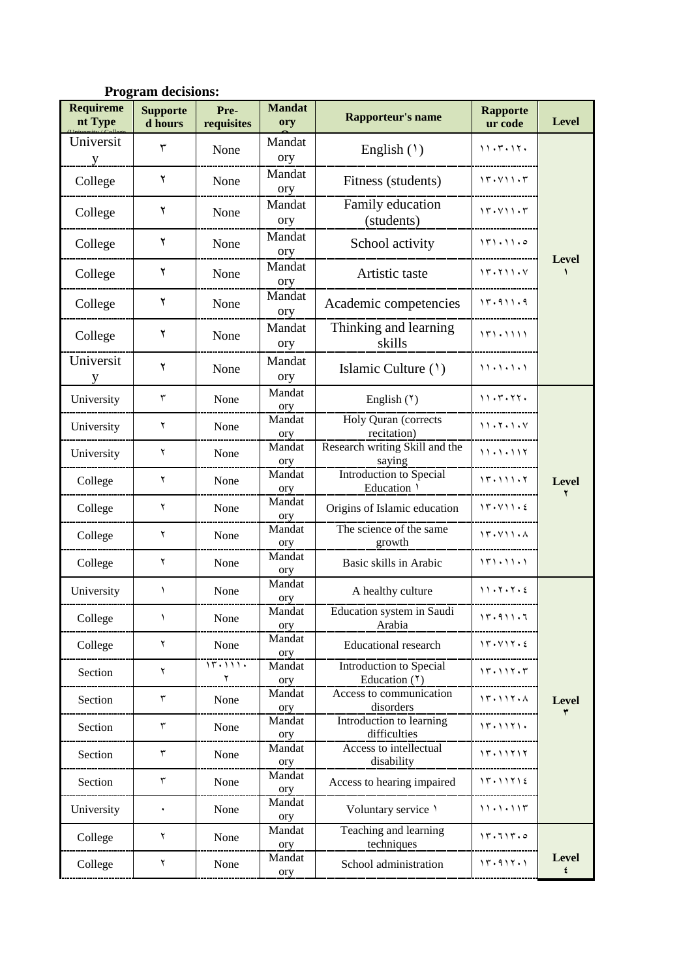| <b>Program decisions:</b> |                            |                    |                      |                                            |                            |                   |  |
|---------------------------|----------------------------|--------------------|----------------------|--------------------------------------------|----------------------------|-------------------|--|
| Requireme<br>nt Type      | <b>Supporte</b><br>d hours | Pre-<br>requisites | <b>Mandat</b><br>ory | <b>Rapporteur's name</b>                   | <b>Rapporte</b><br>ur code | <b>Level</b>      |  |
| Universit<br>y            | ٣                          | None               | Mandat<br>ory        | English $(1)$                              | 11.5.11.                   |                   |  |
| College                   | ٢                          | None               | Mandat<br>ory        | Fitness (students)                         | 15.411.5                   |                   |  |
| College                   | ٢                          | None               | Mandat<br>ory        | Family education<br>(students)             | 15.411.5                   |                   |  |
| College                   | ٢                          | None               | Mandat<br>ory        | School activity                            | 171.11.0                   |                   |  |
| College                   | ٢                          | None               | Mandat<br>ory        | Artistic taste                             | 15.711.4                   | Level             |  |
| College                   | ٢                          | None               | Mandat<br>ory        | Academic competencies                      | 11.911.9                   |                   |  |
| College                   | ٢                          | None               | Mandat<br>ory        | Thinking and learning<br>skills            | 151.1111                   |                   |  |
| Universit<br>y            | ٢                          | None               | Mandat<br>ory        | Islamic Culture (1)                        | 11.1.1.1                   |                   |  |
| University                | $\mathbf{\breve{v}}$       | None               | Mandat<br>ory        | English $(5)$                              | 11.5.77.                   |                   |  |
| University                | ۲                          | None               | Mandat<br>ory        | Holy Quran (corrects<br>recitation)        | 11.7.1.4                   |                   |  |
| University                | ۲                          | None               | Mandat<br>ory        | Research writing Skill and the<br>saying   | 11.1.111                   |                   |  |
| College                   | ٢                          | None               | Mandat<br>ory        | Introduction to Special<br>Education \     | 11.111.7                   | <b>Level</b>      |  |
| College                   | ۲                          | None               | Mandat<br>ory        | Origins of Islamic education               | 15.411.5                   |                   |  |
| College                   | ٢                          | None               | Mandat<br>ory        | The science of the same<br>growth          | 15.411.1                   |                   |  |
| College                   | ۲                          | None               | Mandat<br>ory        | Basic skills in Arabic                     | $151 \cdot 11 \cdot 1$     |                   |  |
| University                | ١                          | None               | Mandat<br>ory        | A healthy culture                          | 11.7.7.2                   |                   |  |
| College                   | ١                          | None               | Mandat<br>ory        | Education system in Saudi<br>Arabia        | 11.911.7                   |                   |  |
| College                   | ۲                          | None               | Mandat<br>ory        | <b>Educational research</b>                | 17.117.2                   |                   |  |
| Section                   | ٢                          | 17.111.<br>٢       | Mandat<br>ory        | Introduction to Special<br>Education $(1)$ | 15.117.5                   |                   |  |
| Section                   | $\mathbf{\breve{v}}$       | None               | Mandat<br>ory        | Access to communication<br>disorders       | 15.117.1                   | Level<br>٣        |  |
| Section                   | $\mathbf{\breve{v}}$       | None               | Mandat<br>ory        | Introduction to learning<br>difficulties   | 11.1111.                   |                   |  |
| Section                   | $\overline{\mathsf{r}}$    | None               | Mandat<br>ory        | Access to intellectual<br>disability       | 17.11717                   |                   |  |
| Section                   | $\mathbf{\tau}$            | None               | Mandat<br>ory        | Access to hearing impaired                 | 17.11712                   |                   |  |
| University                | ۰                          | None               | Mandat<br>ory        | Voluntary service \                        | 11.1.111                   |                   |  |
| College                   | ٢                          | None               | Mandat<br>ory        | Teaching and learning<br>techniques        | 17.717.0                   |                   |  |
| College                   | ٢                          | None               | Mandat<br>ory        | School administration                      | 11.911.1                   | <b>Level</b><br>٤ |  |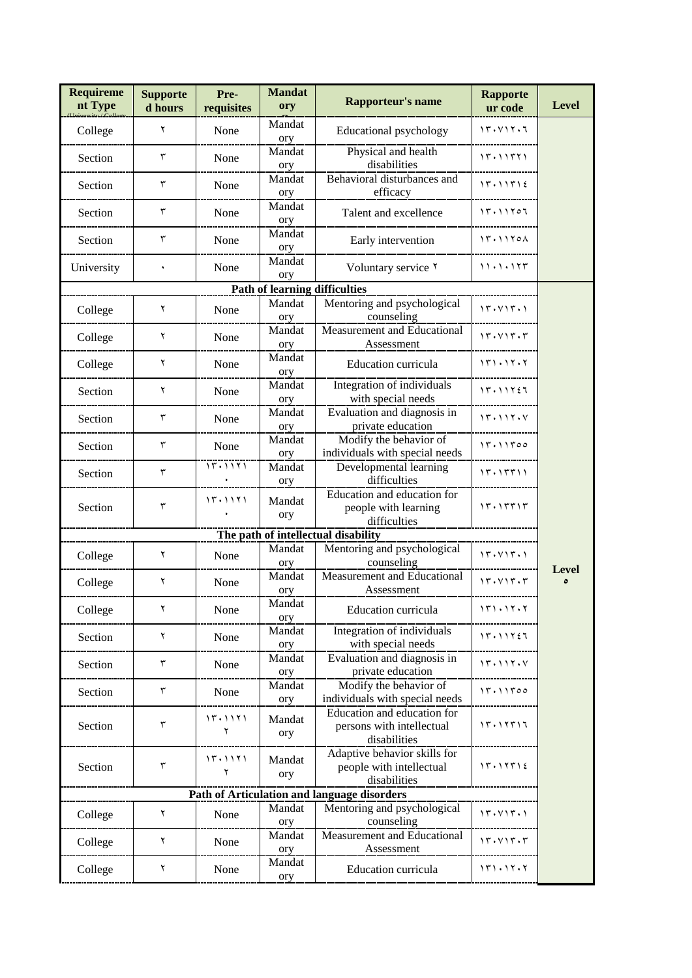| <b>Requireme</b><br>nt Type         | <b>Supporte</b><br>d hours | Pre-<br>requisites | <b>Mandat</b><br>ory                 | <b>Rapporteur's name</b>                                                 | <b>Rapporte</b><br>ur code | <b>Level</b>      |  |  |
|-------------------------------------|----------------------------|--------------------|--------------------------------------|--------------------------------------------------------------------------|----------------------------|-------------------|--|--|
| College                             | ٢                          | None               | Mandat<br>ory                        | Educational psychology                                                   | 11.111.7                   |                   |  |  |
| Section                             | $\mathbf{\breve{v}}$       | None               | Mandat<br>ory                        | Physical and health<br>disabilities                                      | 11.11111                   |                   |  |  |
| Section                             | $\mathbf{\breve{r}}$       | None               | Mandat<br>ory                        | Behavioral disturbances and<br>efficacy                                  | 15.11512                   |                   |  |  |
| Section                             | ٣                          | None               | Mandat<br>ory                        | Talent and excellence                                                    | 15.11707                   |                   |  |  |
| Section                             | ٣                          | None               | Mandat<br>ory                        | Early intervention                                                       | 17.1170A                   |                   |  |  |
| University                          | $\bullet$                  | None               | Mandat<br>ory                        | Voluntary service Y                                                      | 11.1.175                   |                   |  |  |
|                                     |                            |                    | <b>Path of learning difficulties</b> |                                                                          |                            |                   |  |  |
| College                             | ٢                          | None               | Mandat<br>ory                        | Mentoring and psychological<br>counseling                                | 15.415.1                   |                   |  |  |
| College                             | ٢                          | None               | Mandat<br>ory                        | Measurement and Educational<br>Assessment                                | 17.117.7                   |                   |  |  |
| College                             | ٢                          | None               | Mandat<br>ory                        | Education curricula                                                      | 151.15.7                   |                   |  |  |
| Section                             | ٢                          | None               | Mandat<br>ory                        | Integration of individuals<br>with special needs                         | 17.11727                   |                   |  |  |
| Section                             | $\mathbf{\breve{v}}$       | None               | Mandat<br>ory                        | Evaluation and diagnosis in<br>private education                         | 17.117.7                   |                   |  |  |
| Section                             | ٣                          | None               | Mandat<br>ory                        | Modify the behavior of<br>individuals with special needs                 | 17.11700                   |                   |  |  |
| Section                             | ٣                          | 15.1171            | Mandat<br>ory                        | Developmental learning<br>difficulties                                   | ۱۳۰۱۳۳۱۱                   |                   |  |  |
| Section                             | ٣                          | 11.1111            | Mandat<br>ory                        | Education and education for<br>people with learning<br>difficulties      | 15.15515                   |                   |  |  |
| The path of intellectual disability |                            |                    |                                      |                                                                          |                            |                   |  |  |
| College                             | ٢                          | None               | Mandat<br>ory                        | Mentoring and psychological<br>counseling                                | 15.415.1                   |                   |  |  |
| College                             | ٢                          | None               | Mandat<br>ory                        | Measurement and Educational<br>Assessment                                | 17.117.7                   | <b>Level</b><br>٥ |  |  |
| College                             | ٢                          | None               | Mandat<br>ory                        | Education curricula                                                      | 151.15.7                   |                   |  |  |
| Section                             | ٢                          | None               | Mandat<br>ory                        | Integration of individuals<br>with special needs                         | 15.11727                   |                   |  |  |
| Section                             | $\mathbf{\breve{v}}$       | None               | Mandat<br>ory                        | Evaluation and diagnosis in<br>private education                         | 15.115.4                   |                   |  |  |
| Section                             | ٣                          | None               | Mandat<br>ory                        | Modify the behavior of<br>individuals with special needs                 | 15.11500                   |                   |  |  |
| Section                             | ٣                          | 17.1171<br>۲       | Mandat<br>ory                        | Education and education for<br>persons with intellectual<br>disabilities | 11.11111                   |                   |  |  |
| Section                             | ٣                          | 15.1111<br>۲       | Mandat<br>ory                        | Adaptive behavior skills for<br>people with intellectual<br>disabilities | 15.11512                   |                   |  |  |
|                                     |                            |                    |                                      | Path of Articulation and language disorders                              |                            |                   |  |  |
| College                             | ٢                          | None               | Mandat<br>ory                        | Mentoring and psychological<br>counseling                                | 17.117.1                   |                   |  |  |
| College                             | ٢                          | None               | Mandat<br>ory                        | Measurement and Educational<br>Assessment                                | 17.117.7                   |                   |  |  |
| College                             | ٢                          | None               | Mandat<br>ory                        | Education curricula                                                      | 151.15.7                   |                   |  |  |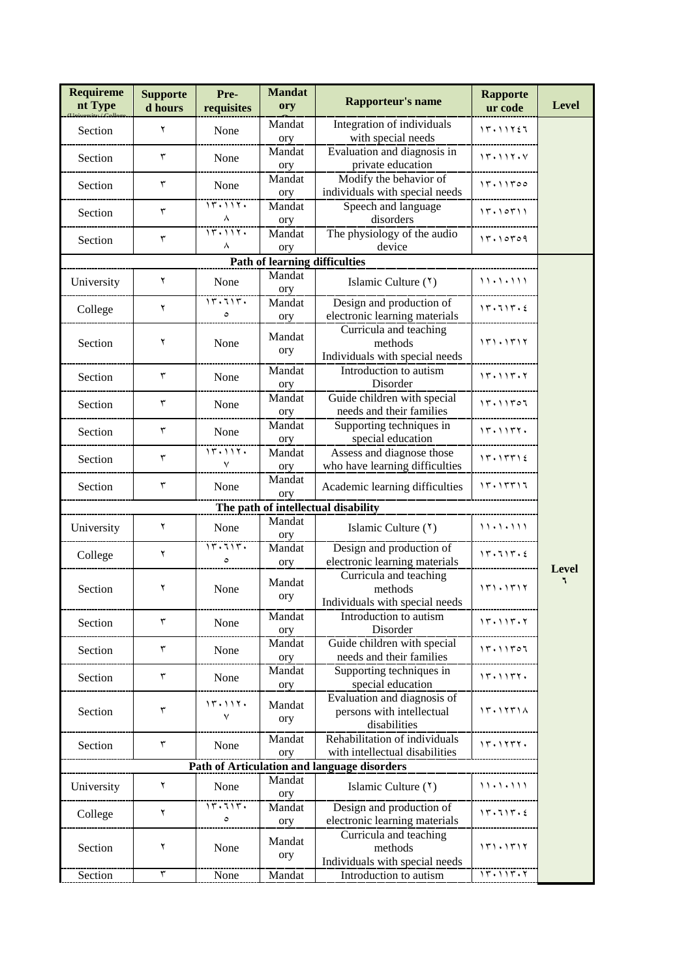| <b>Requireme</b><br>nt Type          | <b>Supporte</b><br>d hours | Pre-<br>requisites | <b>Mandat</b><br>ory | Rapporteur's name                                                        | <b>Rapporte</b><br>ur code | <b>Level</b> |  |  |
|--------------------------------------|----------------------------|--------------------|----------------------|--------------------------------------------------------------------------|----------------------------|--------------|--|--|
| Section                              | ۲                          | None               | Mandat<br>ory        | Integration of individuals<br>with special needs                         | 17.11727                   |              |  |  |
| Section                              | ٣                          | None               | Mandat<br>ory        | Evaluation and diagnosis in<br>private education                         | 17.117.7                   |              |  |  |
| Section                              | ٣                          | None               | Mandat<br>ory        | Modify the behavior of<br>individuals with special needs                 | 17.11700                   |              |  |  |
| Section                              | $\mathbf{\breve{v}}$       | 15.115.<br>Λ       | Mandat<br>ory        | Speech and language<br>disorders                                         | 15.10511                   |              |  |  |
| Section                              | $\mathbf r$                | 15.115.<br>Λ       | Mandat<br>ory        | The physiology of the audio<br>device                                    | 17.10709                   |              |  |  |
| <b>Path of learning difficulties</b> |                            |                    |                      |                                                                          |                            |              |  |  |
| University                           | ٢                          | None               | Mandat<br>ory        | Islamic Culture (*)                                                      | 11 . 1 . 1 1 1             |              |  |  |
| College                              | ٢                          | 15.715.<br>$\circ$ | Mandat<br>ory        | Design and production of<br>electronic learning materials                | 15.715.5                   |              |  |  |
| Section                              | ۲                          | None               | Mandat<br>ory        | Curricula and teaching<br>methods<br>Individuals with special needs      | 171.1717                   |              |  |  |
| Section                              | ٣                          | None               | Mandat<br>ory        | Introduction to autism<br>Disorder                                       | 11.111.7                   |              |  |  |
| Section                              | ٣                          | None               | Mandat<br>ory        | Guide children with special<br>needs and their families                  | 17.11707                   |              |  |  |
| Section                              | $\mathbf{\breve{v}}$       | None               | Mandat<br>ory        | Supporting techniques in<br>special education                            | 11.1117.                   |              |  |  |
| Section                              | ٣                          | 11.111.<br>٧       | Mandat<br>ory        | Assess and diagnose those<br>who have learning difficulties              | 15.15512                   |              |  |  |
| Section                              | ٣                          | None               | Mandat<br>ory        | Academic learning difficulties                                           | 15.15517                   |              |  |  |
|                                      |                            |                    |                      | The path of intellectual disability                                      |                            |              |  |  |
| University                           | ٢                          | None               | Mandat<br>ory        | Islamic Culture (*)                                                      | 11.1.111                   |              |  |  |
| College                              | ٢                          | 17.117.<br>٥       | Mandat<br>ory        | Design and production of<br>electronic learning materials                | 17.717.5                   | <b>Level</b> |  |  |
| Section                              | ٢                          | None               | Mandat<br>ory        | Curricula and teaching<br>methods<br>Individuals with special needs      | 171.1717                   | ٦            |  |  |
| Section                              | ٣                          | None               | Mandat<br>ory        | Introduction to autism<br>Disorder                                       | 11.111.7                   |              |  |  |
| Section                              | ٣                          | None               | Mandat<br>ory        | Guide children with special<br>needs and their families                  | 17.11707                   |              |  |  |
| Section                              | ٣                          | None               | Mandat<br>ory        | Supporting techniques in<br>special education                            | 17.1177.                   |              |  |  |
| Section                              | ٣                          | 11.111.<br>٧       | Mandat<br>ory        | Evaluation and diagnosis of<br>persons with intellectual<br>disabilities | 15.1151A                   |              |  |  |
| Section                              | ٣                          | None               | Mandat<br>ory        | Rehabilitation of individuals<br>with intellectual disabilities          | 15.1177.                   |              |  |  |
|                                      |                            |                    |                      | Path of Articulation and language disorders                              |                            |              |  |  |
| University                           | ٢                          | None               | Mandat<br>ory        | Islamic Culture (*)                                                      | ,,,,,,,,                   |              |  |  |
| College                              | ٢                          | ۱۳۰۶۱۳۰<br>$\circ$ | Mandat<br>ory        | Design and production of<br>electronic learning materials                | 15.715.5                   |              |  |  |
| Section                              | ٢                          | None               | Mandat<br>ory        | Curricula and teaching<br>methods<br>Individuals with special needs      | 171.1717                   |              |  |  |
| Section                              | $\overline{\mathsf{r}}$    | None               | Mandat               | Introduction to autism                                                   | 17.117.7                   |              |  |  |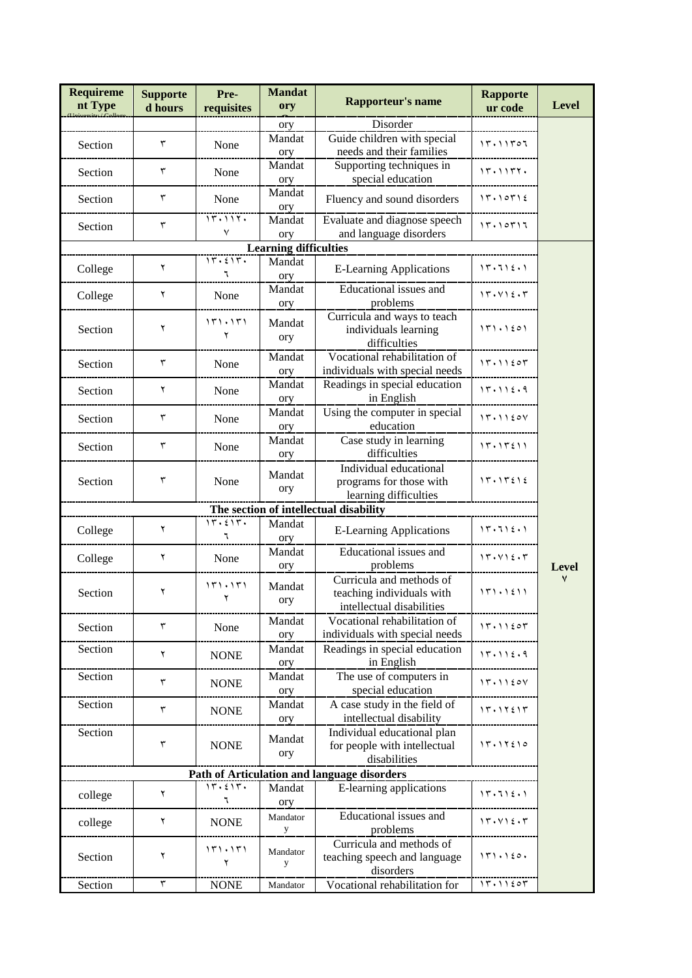| <b>Requireme</b><br>nt Type            | <b>Supporte</b><br>d hours | Pre-<br>requisites | <b>Mandat</b><br>ory  | <b>Rapporteur's name</b>                                                           | <b>Rapporte</b><br>ur code | <b>Level</b> |  |  |
|----------------------------------------|----------------------------|--------------------|-----------------------|------------------------------------------------------------------------------------|----------------------------|--------------|--|--|
|                                        |                            |                    | ory                   | Disorder                                                                           |                            |              |  |  |
| Section                                | ٣                          | None               | Mandat<br>ory         | Guide children with special<br>needs and their families                            | ۱۳۰۱۱۳۵۶                   |              |  |  |
| Section                                | ٣                          | None               | Mandat<br>ory         | Supporting techniques in<br>special education                                      | 15.1157.                   |              |  |  |
| Section                                | ٣                          | None               | Mandat<br>ory         | Fluency and sound disorders                                                        | 15.10512                   |              |  |  |
| Section                                | ٣                          | 15.115.<br>٧       | Mandat<br>ory         | Evaluate and diagnose speech<br>and language disorders                             | 15.10517                   |              |  |  |
| <b>Learning difficulties</b>           |                            |                    |                       |                                                                                    |                            |              |  |  |
| College                                | ٢                          | 17.517.<br>٦       | Mandat<br>ory         | <b>E-Learning Applications</b>                                                     | 15.715.1                   |              |  |  |
| College                                | ٢                          | None               | Mandat<br>ory         | Educational issues and<br>problems                                                 | 15.412.5                   |              |  |  |
| Section                                | ۲                          | 151.151<br>۲       | Mandat<br>ory         | Curricula and ways to teach<br>individuals learning<br>difficulties                | 151.1201                   |              |  |  |
| Section                                | $\mathbf{\tau}$            | None               | Mandat<br>ory         | Vocational rehabilitation of<br>individuals with special needs                     | 15.11207                   |              |  |  |
| Section                                | ٢                          | None               | Mandat<br>ory         | Readings in special education<br>in English                                        | 15.115.9                   |              |  |  |
| Section                                | ٣                          | None               | Mandat<br>ory         | Using the computer in special<br>education                                         | 15.1120V                   |              |  |  |
| Section                                | ٣                          | None               | Mandat<br>ory         | Case study in learning<br>difficulties                                             | 15.15511                   |              |  |  |
| Section                                | ٣                          | None               | Mandat<br>ory         | Individual educational<br>programs for those with<br>learning difficulties         | 15.15212                   |              |  |  |
| The section of intellectual disability |                            |                    |                       |                                                                                    |                            |              |  |  |
| College                                | ٢                          | 17.517.<br>٦       | Mandat<br>ory         | <b>E-Learning Applications</b>                                                     | 15.715.1                   |              |  |  |
| College                                | ٢                          | None               | Mandat<br>ory         | Educational issues and<br>problems                                                 | 15.412.5                   | <b>Level</b> |  |  |
| Section                                | ۲                          | 151.151<br>۲       | Mandat<br>ory         | Curricula and methods of<br>teaching individuals with<br>intellectual disabilities | 151.1211                   | ٧            |  |  |
| Section                                | $\mathbf{\tau}$            | None               | Mandat<br>ory         | Vocational rehabilitation of<br>individuals with special needs                     | 15.11207                   |              |  |  |
| Section                                | ٢                          | <b>NONE</b>        | Mandat<br>ory         | Readings in special education<br>in English                                        | 15.115.1                   |              |  |  |
| Section                                | $\mathbf{\tau}$            | <b>NONE</b>        | Mandat<br>ory         | The use of computers in<br>special education                                       | 15.1120V                   |              |  |  |
| Section                                | $\mathbf{\tau}$            | <b>NONE</b>        | Mandat<br>ory         | A case study in the field of<br>intellectual disability                            | 15.11515                   |              |  |  |
| Section                                | ٣                          | <b>NONE</b>        | Mandat<br>ory         | Individual educational plan<br>for people with intellectual<br>disabilities        | 17.17210                   |              |  |  |
|                                        |                            |                    |                       | Path of Articulation and language disorders                                        |                            |              |  |  |
| college                                | ۲                          | 17.517.<br>٦       | Mandat<br>ory         | E-learning applications                                                            | 15.712.1                   |              |  |  |
| college                                | ۲                          | <b>NONE</b>        | Mandator<br>${\bf y}$ | Educational issues and<br>problems                                                 | 15.412.7                   |              |  |  |
| Section                                | ۲                          | 171.171<br>۲       | Mandator<br>y         | Curricula and methods of<br>teaching speech and language<br>disorders              | 151.120.                   |              |  |  |
| Section                                | $\mathbf{\tau}$            | <b>NONE</b>        | Mandator              | Vocational rehabilitation for                                                      | 15.11207                   |              |  |  |